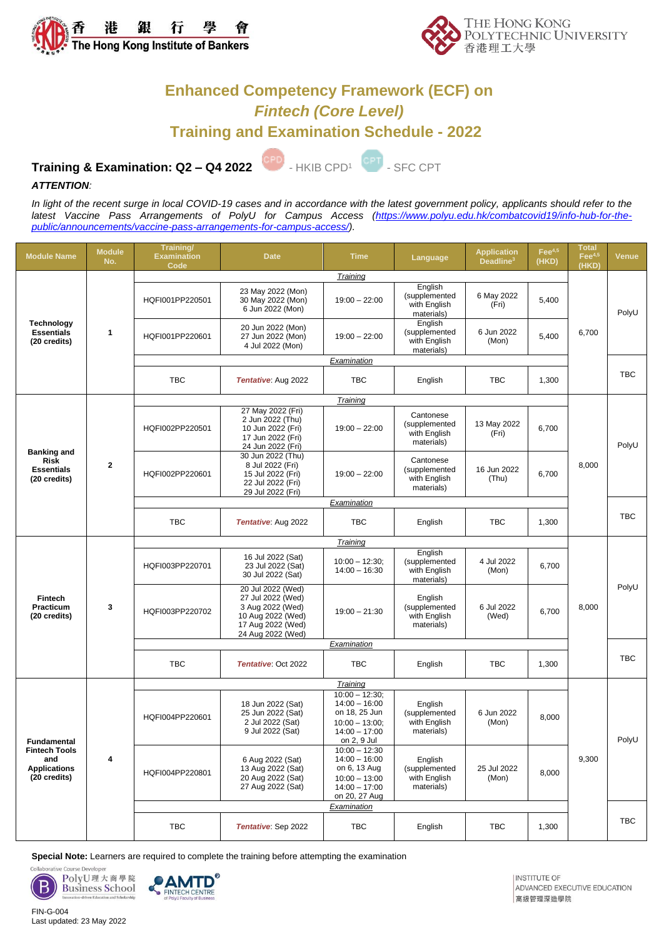



## **Enhanced Competency Framework (ECF) on** *Fintech (Core Level)* **Training and Examination Schedule - 2022**

# **Training & Examination: Q2 - Q4 2022**

- HKIB CPD<sup>1</sup> CPT - SFC CPT

### *ATTENTION:*

*In light of the recent surge in local COVID-19 cases and in accordance with the latest government policy, applicants should refer to the* latest Vaccine Pass Arrangements of PolyU for Campus Access [\(https://www.polyu.edu.hk/combatcovid19/info-hub-for-the](https://www.polyu.edu.hk/combatcovid19/info-hub-for-the-public/announcements/vaccine-pass-arrangements-for-campus-access/)*[public/announcements/vaccine-pass-arrangements-for-campus-access/\)](https://www.polyu.edu.hk/combatcovid19/info-hub-for-the-public/announcements/vaccine-pass-arrangements-for-campus-access/).*

| <b>Module Name</b>                                                                | <b>Module</b><br>No. | Training/<br><b>Examination</b><br>Code | <b>Date</b>                                                                                                               | <b>Time</b>                                                                                                  | <b>Language</b>                                          | <b>Application</b><br>Deadline <sup>3</sup> | $\text{Fe}^{4,5}$<br>(HKD) | <b>Total</b><br>$\text{Fe}^{4,5}$<br>(HKD) | <b>Venue</b> |
|-----------------------------------------------------------------------------------|----------------------|-----------------------------------------|---------------------------------------------------------------------------------------------------------------------------|--------------------------------------------------------------------------------------------------------------|----------------------------------------------------------|---------------------------------------------|----------------------------|--------------------------------------------|--------------|
|                                                                                   | Training             |                                         |                                                                                                                           |                                                                                                              |                                                          |                                             |                            |                                            |              |
| <b>Technology</b><br><b>Essentials</b><br>(20 credits)                            | $\mathbf{1}$         | HQFI001PP220501                         | 23 May 2022 (Mon)<br>30 May 2022 (Mon)<br>6 Jun 2022 (Mon)                                                                | $19:00 - 22:00$                                                                                              | English<br>(supplemented<br>with English<br>materials)   | 6 May 2022<br>(Fri)                         | 5,400                      | 6,700                                      | PolyU        |
|                                                                                   |                      | HQFI001PP220601                         | 20 Jun 2022 (Mon)<br>27 Jun 2022 (Mon)<br>4 Jul 2022 (Mon)                                                                | $19:00 - 22:00$                                                                                              | English<br>(supplemented<br>with English<br>materials)   | 6 Jun 2022<br>(Mon)                         | 5,400                      |                                            |              |
|                                                                                   |                      | Examination                             |                                                                                                                           |                                                                                                              |                                                          |                                             |                            |                                            |              |
|                                                                                   |                      | <b>TBC</b>                              | Tentative: Aug 2022                                                                                                       | <b>TBC</b>                                                                                                   | English                                                  | <b>TBC</b>                                  | 1,300                      |                                            | <b>TBC</b>   |
|                                                                                   | $\mathbf{2}$         | Training                                |                                                                                                                           |                                                                                                              |                                                          |                                             |                            |                                            |              |
| <b>Banking and</b><br><b>Risk</b><br><b>Essentials</b><br>(20 credits)            |                      | HQFI002PP220501                         | 27 May 2022 (Fri)<br>2 Jun 2022 (Thu)<br>10 Jun 2022 (Fri)<br>17 Jun 2022 (Fri)<br>24 Jun 2022 (Fri)                      | $19:00 - 22:00$                                                                                              | Cantonese<br>(supplemented<br>with English<br>materials) | 13 May 2022<br>(Fri)                        | 6,700                      | 8,000                                      | PolyU        |
|                                                                                   |                      | HQFI002PP220601                         | 30 Jun 2022 (Thu)<br>8 Jul 2022 (Fri)<br>15 Jul 2022 (Fri)<br>22 Jul 2022 (Fri)<br>29 Jul 2022 (Fri)                      | $19:00 - 22:00$                                                                                              | Cantonese<br>(supplemented<br>with English<br>materials) | 16 Jun 2022<br>(Thu)                        | 6,700                      |                                            |              |
|                                                                                   |                      | Examination                             |                                                                                                                           |                                                                                                              |                                                          |                                             |                            |                                            |              |
|                                                                                   |                      | <b>TBC</b>                              | Tentative: Aug 2022                                                                                                       | <b>TBC</b>                                                                                                   | English                                                  | <b>TBC</b>                                  | 1,300                      |                                            | <b>TBC</b>   |
| <b>Fintech</b><br>Practicum<br>(20 credits)                                       | 3                    | Training                                |                                                                                                                           |                                                                                                              |                                                          |                                             |                            |                                            |              |
|                                                                                   |                      | HQFI003PP220701                         | 16 Jul 2022 (Sat)<br>23 Jul 2022 (Sat)<br>30 Jul 2022 (Sat)                                                               | $10:00 - 12:30$ ;<br>$14:00 - 16:30$                                                                         | English<br>(supplemented<br>with English<br>materials)   | 4 Jul 2022<br>(Mon)                         | 6,700                      | 8,000                                      | PolyU        |
|                                                                                   |                      | HQFI003PP220702                         | 20 Jul 2022 (Wed)<br>27 Jul 2022 (Wed)<br>3 Aug 2022 (Wed)<br>10 Aug 2022 (Wed)<br>17 Aug 2022 (Wed)<br>24 Aug 2022 (Wed) | $19:00 - 21:30$                                                                                              | English<br>(supplemented<br>with English<br>materials)   | 6 Jul 2022<br>(Wed)                         | 6,700                      |                                            |              |
|                                                                                   |                      | Examination                             |                                                                                                                           |                                                                                                              |                                                          |                                             |                            |                                            |              |
|                                                                                   |                      | <b>TBC</b>                              | Tentative: Oct 2022                                                                                                       | <b>TBC</b>                                                                                                   | English                                                  | <b>TBC</b>                                  | 1,300                      |                                            | <b>TBC</b>   |
|                                                                                   | 4                    | Training                                |                                                                                                                           |                                                                                                              |                                                          |                                             |                            |                                            |              |
| Fundamental<br><b>Fintech Tools</b><br>and<br><b>Applications</b><br>(20 credits) |                      | HQFI004PP220601                         | 18 Jun 2022 (Sat)<br>25 Jun 2022 (Sat)<br>2 Jul 2022 (Sat)<br>9 Jul 2022 (Sat)                                            | $10:00 - 12:30$ ;<br>$14:00 - 16:00$<br>on 18, 25 Jun<br>$10:00 - 13:00$ :<br>$14:00 - 17:00$<br>on 2, 9 Jul | English<br>(supplemented<br>with English<br>materials)   | 6 Jun 2022<br>(Mon)                         | 8,000                      | 9,300                                      | PolyU        |
|                                                                                   |                      | HQFI004PP220801                         | 6 Aug 2022 (Sat)<br>13 Aug 2022 (Sat)<br>20 Aug 2022 (Sat)<br>27 Aug 2022 (Sat)                                           | $10:00 - 12:30$<br>$14:00 - 16:00$<br>on 6, 13 Aug<br>$10:00 - 13:00$<br>$14:00 - 17:00$<br>on 20, 27 Aug    | English<br>(supplemented<br>with English<br>materials)   | 25 Jul 2022<br>(Mon)                        | 8,000                      |                                            |              |
|                                                                                   |                      | Examination                             |                                                                                                                           |                                                                                                              |                                                          |                                             |                            |                                            |              |
|                                                                                   |                      | TBC                                     | Tentative: Sep 2022                                                                                                       | TBC                                                                                                          | English                                                  | TBC                                         | 1,300                      |                                            | TBC          |

**Special Note:** Learners are required to complete the training before attempting the examination

PolyU理大商學院 B **Business School** 

Collaborat



**INSTITUTE OF** ADVANCED EXECUTIVE EDUCATION 高級管理深造學院

FIN-G-004 Last updated: 23 May 2022

Course Develope